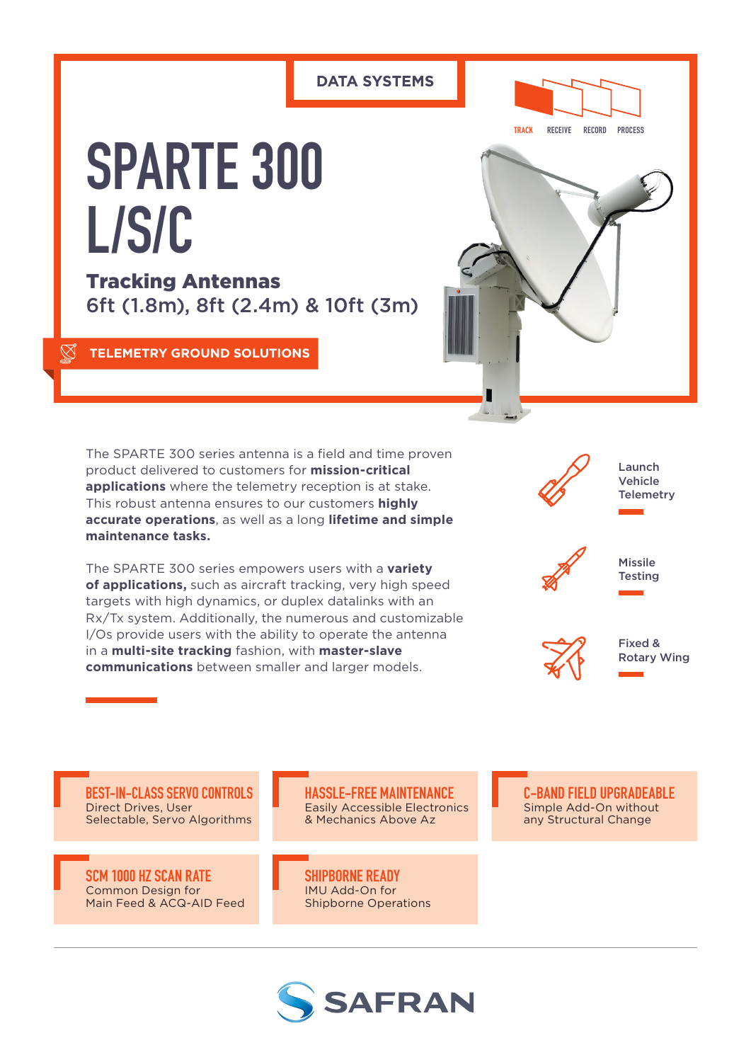# **DATA SYSTEMS**



**SPARTE 300 L/S/C**

Tracking Antennas 6ft (1.8m), 8ft (2.4m) & 10ft (3m)

# **TELEMETRY GROUND SOLUTIONS**



The SPARTE 300 series antenna is a field and time proven product delivered to customers for **mission-critical applications** where the telemetry reception is at stake. This robust antenna ensures to our customers **highly accurate operations**, as well as a long **lifetime and simple maintenance tasks.** 

The SPARTE 300 series empowers users with a **variety of applications,** such as aircraft tracking, very high speed targets with high dynamics, or duplex datalinks with an Rx/Tx system. Additionally, the numerous and customizable I/Os provide users with the ability to operate the antenna in a **multi-site tracking** fashion, with **master-slave communications** between smaller and larger models.



**BEST-IN-CLASS SERVO CONTROLS** Direct Drives, User Selectable, Servo Algorithms

**SCM 1000 HZ SCAN RATE** Common Design for Main Feed & ACQ-AID Feed

**HASSLE-FREE MAINTENANCE** Easily Accessible Electronics & Mechanics Above Az

**SHIPBORNE READY** IMU Add-On for Shipborne Operations



**C-BAND FIELD UPGRADEABLE** Simple Add-On without any Structural Change